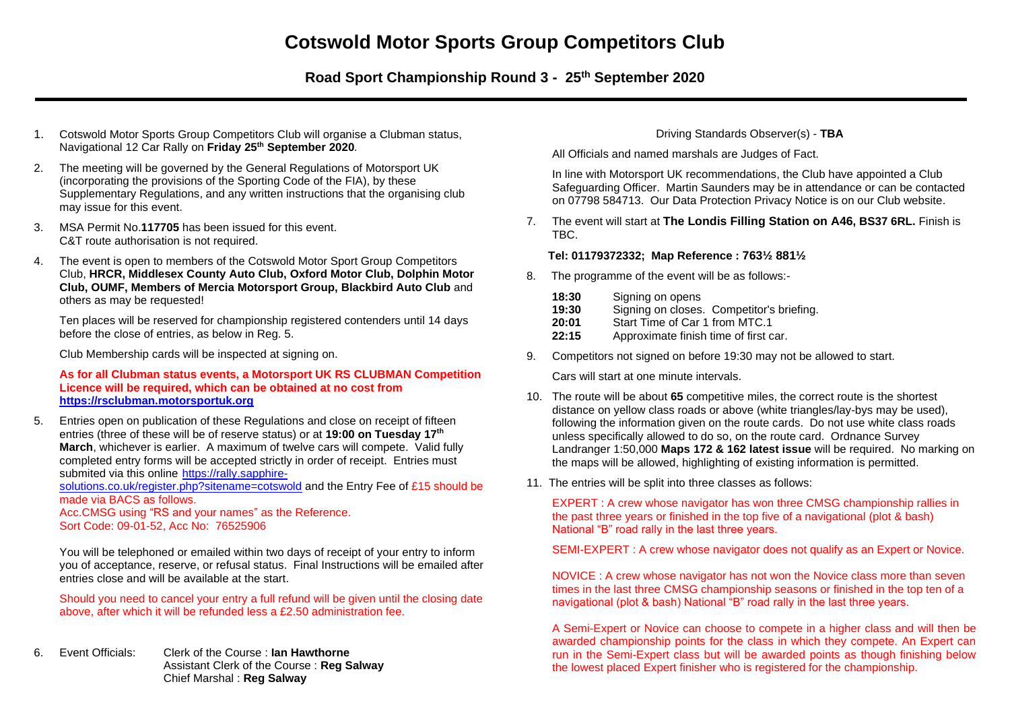# **Cotswold Motor Sports Group Competitors Club**

**Road Sport Championship Round 3 - 25th September 2020**

- 1. Cotswold Motor Sports Group Competitors Club will organise a Clubman status, Navigational 12 Car Rally on **Friday 25 th September 2020***.*
- 2. The meeting will be governed by the General Regulations of Motorsport UK (incorporating the provisions of the Sporting Code of the FIA), by these Supplementary Regulations, and any written instructions that the organising club may issue for this event.
- 3. MSA Permit No.**117705** has been issued for this event. C&T route authorisation is not required.
- 4. The event is open to members of the Cotswold Motor Sport Group Competitors Club, **HRCR, Middlesex County Auto Club, Oxford Motor Club, Dolphin Motor Club, OUMF, Members of Mercia Motorsport Group, Blackbird Auto Club** and others as may be requested!

Ten places will be reserved for championship registered contenders until 14 days before the close of entries, as below in Reg. 5.

Club Membership cards will be inspected at signing on.

#### **As for all Clubman status events, a Motorsport UK RS CLUBMAN Competition Licence will be required, which can be obtained at no cost from [https://rsclubman.motorsportuk.org](https://rsclubman.motorsportuk.org/)**

5. Entries open on publication of these Regulations and close on receipt of fifteen entries (three of these will be of reserve status) or at **19:00 on Tuesday 17 th March**, whichever is earlier. A maximum of twelve cars will compete. Valid fully completed entry forms will be accepted strictly in order of receipt. Entries must submited via this online [https://rally.sapphire](https://rally.sapphire-solutions.co.uk/register.php?sitename=cotswold)[solutions.co.uk/register.php?sitename=cotswold](https://rally.sapphire-solutions.co.uk/register.php?sitename=cotswold) and the Entry Fee of £15 should be

made via BACS as follows.

Acc.CMSG using "RS and your names" as the Reference. Sort Code: 09-01-52, Acc No: 76525906

You will be telephoned or emailed within two days of receipt of your entry to inform you of acceptance, reserve, or refusal status. Final Instructions will be emailed after entries close and will be available at the start.

Should you need to cancel your entry a full refund will be given until the closing date above, after which it will be refunded less a £2.50 administration fee.

6. Event Officials: Clerk of the Course : **Ian Hawthorne** Assistant Clerk of the Course : **Reg Salway** Chief Marshal : **Reg Salway**

# Driving Standards Observer(s) - **TBA**

All Officials and named marshals are Judges of Fact.

In line with Motorsport UK recommendations, the Club have appointed a Club Safeguarding Officer. Martin Saunders may be in attendance or can be contacted on 07798 584713. Our Data Protection Privacy Notice is on our Club website.

7. The event will start at **The Londis Filling Station on A46, BS37 6RL.** Finish is TBC.

## **Tel: 01179372332; Map Reference : 763½ 881½**

- 8. The programme of the event will be as follows:-
	- **18:30** Signing on opens
	- **19:30** Signing on closes. Competitor's briefing.
	- **20:01** Start Time of Car 1 from MTC.1
	- **22:15** Approximate finish time of first car.
- 9. Competitors not signed on before 19:30 may not be allowed to start.

Cars will start at one minute intervals.

- 10. The route will be about **65** competitive miles, the correct route is the shortest distance on yellow class roads or above (white triangles/lay-bys may be used), following the information given on the route cards. Do not use white class roads unless specifically allowed to do so, on the route card. Ordnance Survey Landranger 1:50,000 **Maps 172 & 162 latest issue** will be required. No marking on the maps will be allowed, highlighting of existing information is permitted.
- 11. The entries will be split into three classes as follows:

EXPERT : A crew whose navigator has won three CMSG championship rallies in the past three years or finished in the top five of a navigational (plot & bash) National "B" road rally in the last three years.

SEMI-EXPERT : A crew whose navigator does not qualify as an Expert or Novice.

NOVICE : A crew whose navigator has not won the Novice class more than seven times in the last three CMSG championship seasons or finished in the top ten of a navigational (plot & bash) National "B" road rally in the last three years.

A Semi-Expert or Novice can choose to compete in a higher class and will then be awarded championship points for the class in which they compete. An Expert can run in the Semi-Expert class but will be awarded points as though finishing below the lowest placed Expert finisher who is registered for the championship.